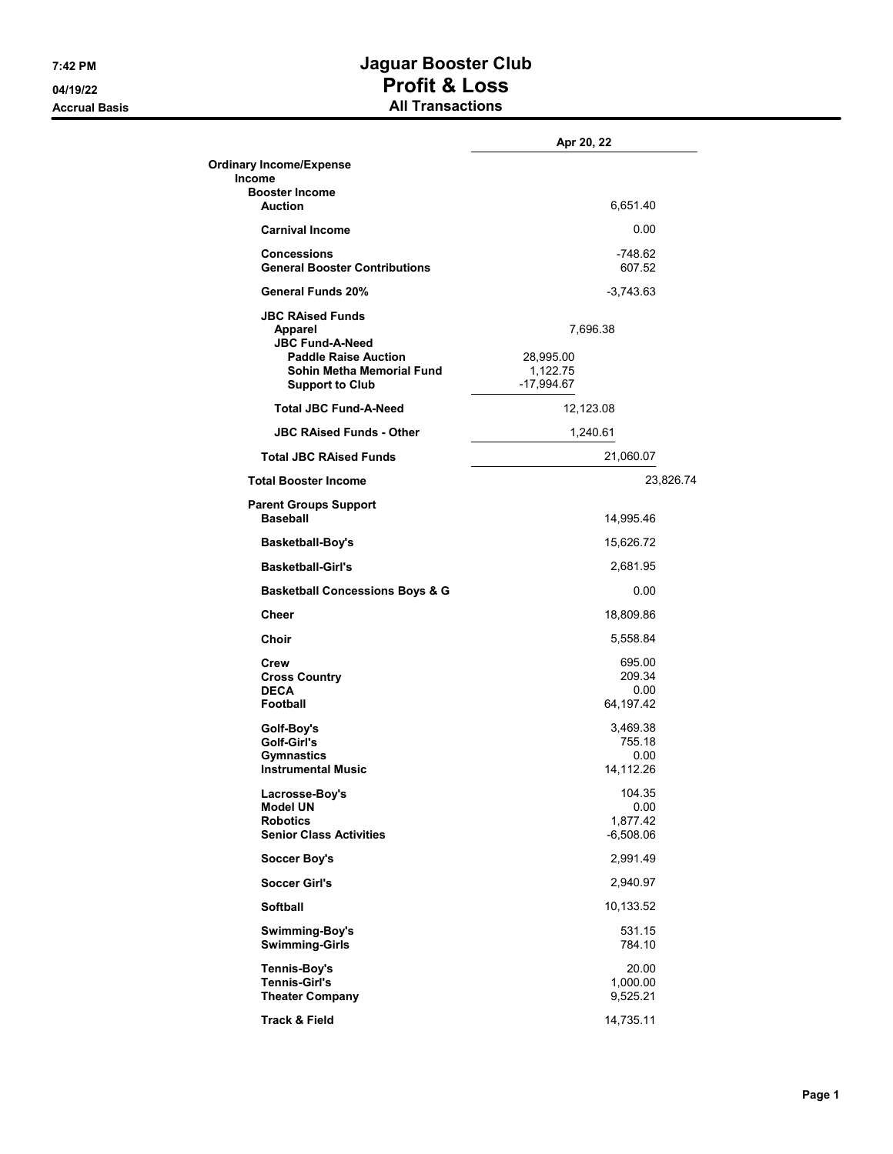**Accrual Basis** 

## **7:42 PM Jaguar Booster Club 04/19/22 Profit & Loss**

|                                                                                                                                | Apr 20, 22                                        |
|--------------------------------------------------------------------------------------------------------------------------------|---------------------------------------------------|
| <b>Ordinary Income/Expense</b>                                                                                                 |                                                   |
| <b>Income</b><br><b>Booster Income</b>                                                                                         |                                                   |
| <b>Auction</b>                                                                                                                 | 6,651.40                                          |
| <b>Carnival Income</b>                                                                                                         | 0.00                                              |
| <b>Concessions</b><br><b>General Booster Contributions</b>                                                                     | -748.62<br>607.52                                 |
| General Funds 20%                                                                                                              | -3,743.63                                         |
| <b>JBC RAised Funds</b>                                                                                                        |                                                   |
| <b>Apparel</b><br><b>JBC Fund-A-Need</b><br><b>Paddle Raise Auction</b><br>Sohin Metha Memorial Fund<br><b>Support to Club</b> | 7,696.38<br>28,995.00<br>1,122.75<br>$-17,994.67$ |
| <b>Total JBC Fund-A-Need</b>                                                                                                   | 12,123.08                                         |
| <b>JBC RAised Funds - Other</b>                                                                                                | 1,240.61                                          |
| <b>Total JBC RAised Funds</b>                                                                                                  | 21,060.07                                         |
| <b>Total Booster Income</b>                                                                                                    | 23,826.74                                         |
| <b>Parent Groups Support</b><br><b>Baseball</b>                                                                                | 14,995.46                                         |
| <b>Basketball-Boy's</b>                                                                                                        | 15,626.72                                         |
| <b>Basketball-Girl's</b>                                                                                                       | 2,681.95                                          |
| <b>Basketball Concessions Boys &amp; G</b>                                                                                     | 0.00                                              |
| <b>Cheer</b>                                                                                                                   | 18,809.86                                         |
| Choir                                                                                                                          | 5,558.84                                          |
| Crew<br><b>Cross Country</b><br><b>DECA</b><br><b>Football</b>                                                                 | 695.00<br>209.34<br>0.00<br>64,197.42             |
| Golf-Boy's<br>Golf-Girl's<br><b>Gymnastics</b><br><b>Instrumental Music</b>                                                    | 3,469.38<br>755.18<br>0.00<br>14,112.26           |
| Lacrosse-Boy's<br><b>Model UN</b><br><b>Robotics</b><br><b>Senior Class Activities</b>                                         | 104.35<br>0.00<br>1,877.42<br>$-6,508.06$         |
| <b>Soccer Boy's</b>                                                                                                            | 2,991.49                                          |
| <b>Soccer Girl's</b>                                                                                                           | 2,940.97                                          |
| <b>Softball</b>                                                                                                                | 10,133.52                                         |
| Swimming-Boy's<br><b>Swimming-Girls</b>                                                                                        | 531.15<br>784.10                                  |
| Tennis-Boy's<br><b>Tennis-Girl's</b><br><b>Theater Company</b>                                                                 | 20.00<br>1,000.00<br>9,525.21                     |
| <b>Track &amp; Field</b>                                                                                                       | 14,735.11                                         |